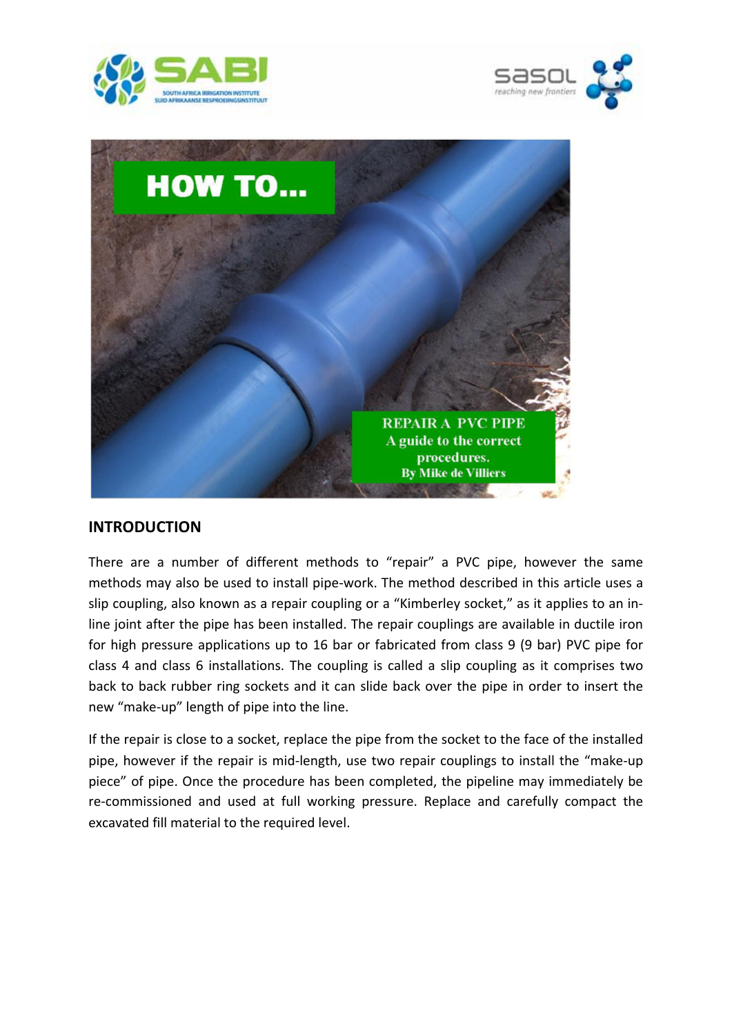





## **INTRODUCTION**

There are a number of different methods to "repair" a PVC pipe, however the same methods may also be used to install pipe‐work. The method described in this article uses a slip coupling, also known as a repair coupling or a "Kimberley socket," as it applies to an inline joint after the pipe has been installed. The repair couplings are available in ductile iron for high pressure applications up to 16 bar or fabricated from class 9 (9 bar) PVC pipe for class 4 and class 6 installations. The coupling is called a slip coupling as it comprises two back to back rubber ring sockets and it can slide back over the pipe in order to insert the new "make‐up" length of pipe into the line.

If the repair is close to a socket, replace the pipe from the socket to the face of the installed pipe, however if the repair is mid-length, use two repair couplings to install the "make-up piece" of pipe. Once the procedure has been completed, the pipeline may immediately be re-commissioned and used at full working pressure. Replace and carefully compact the excavated fill material to the required level.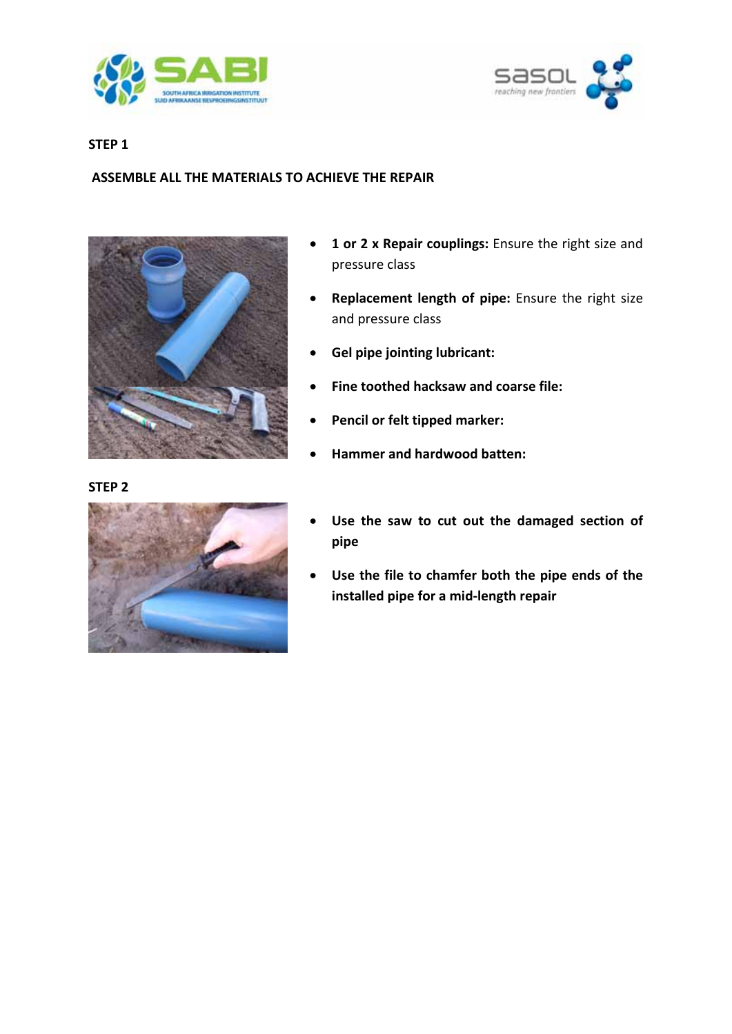



## **STEP 1**

## **ASSEMBLE ALL THE MATERIALS TO ACHIEVE THE REPAIR**



## **STEP 2**



- **1 or 2 x Repair couplings:** Ensure the right size and pressure class
- **Replacement length of pipe:** Ensure the right size and pressure class
- **Gel pipe jointing lubricant:**
- **Fine toothed hacksaw and coarse file:**
- **Pencil or felt tipped marker:**
- **Hammer and hardwood batten:**
- **Use the saw to cut out the damaged section of pipe**
- **Use the file to chamfer both the pipe ends of the installed pipe for a mid‐length repair**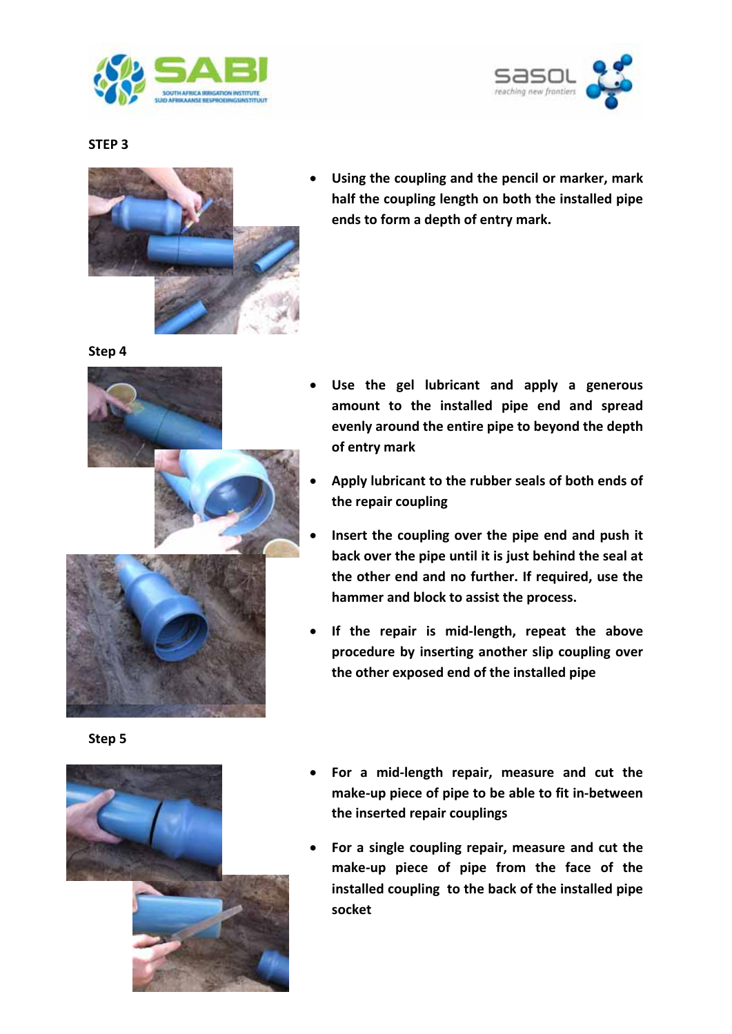



**STEP 3**



 **Using the coupling and the pencil or marker, mark half the coupling length on both the installed pipe ends to form a depth of entry mark.**

**Step 4**



**Step 5**



- **Use the gel lubricant and apply a generous amount to the installed pipe end and spread evenly around the entire pipe to beyond the depth of entry mark**
- **Apply lubricant to the rubber seals of both ends of the repair coupling**
- **Insert the coupling over the pipe end and push it back over the pipe until it is just behind the seal at the other end and no further. If required, use the hammer and block to assist the process.**
- **If the repair is mid‐length, repeat the above procedure by inserting another slip coupling over the other exposed end of the installed pipe**
- **For a mid‐length repair, measure and cut the make‐up piece of pipe to be able to fit in‐between the inserted repair couplings**
- **For a single coupling repair, measure and cut the make‐up piece of pipe from the face of the installed coupling to the back of the installed pipe socket**